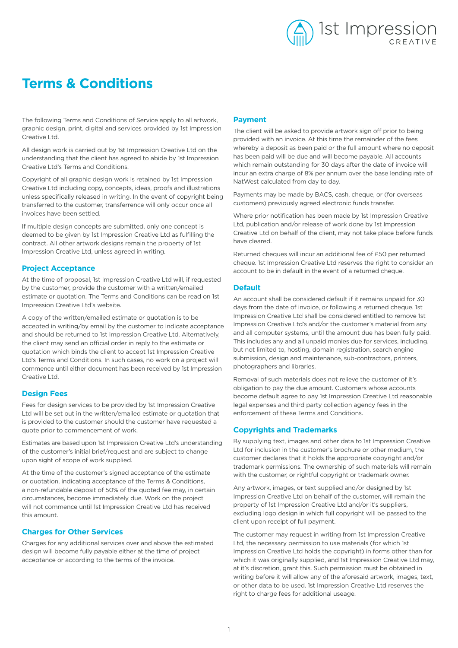

# **Terms & Conditions**

The following Terms and Conditions of Service apply to all artwork, graphic design, print, digital and services provided by 1st Impression Creative Ltd.

All design work is carried out by 1st Impression Creative Ltd on the understanding that the client has agreed to abide by 1st Impression Creative Ltd's Terms and Conditions.

Copyright of all graphic design work is retained by 1st Impression Creative Ltd including copy, concepts, ideas, proofs and illustrations unless specifically released in writing. In the event of copyright being transferred to the customer, transferrence will only occur once all invoices have been settled.

If multiple design concepts are submitted, only one concept is deemed to be given by 1st Impression Creative Ltd as fulfilling the contract. All other artwork designs remain the property of 1st Impression Creative Ltd, unless agreed in writing.

## **Project Acceptance**

At the time of proposal, 1st Impression Creative Ltd will, if requested by the customer, provide the customer with a written/emailed estimate or quotation. The Terms and Conditions can be read on 1st Impression Creative Ltd's website.

A copy of the written/emailed estimate or quotation is to be accepted in writing/by email by the customer to indicate acceptance and should be returned to 1st Impression Creative Ltd. Alternatively, the client may send an official order in reply to the estimate or quotation which binds the client to accept 1st Impression Creative Ltd's Terms and Conditions. In such cases, no work on a project will commence until either document has been received by 1st Impression Creative Ltd.

# **Design Fees**

Fees for design services to be provided by 1st Impression Creative Ltd will be set out in the written/emailed estimate or quotation that is provided to the customer should the customer have requested a quote prior to commencement of work.

Estimates are based upon 1st Impression Creative Ltd's understanding of the customer's initial brief/request and are subject to change upon sight of scope of work supplied.

At the time of the customer's signed acceptance of the estimate or quotation, indicating acceptance of the Terms & Conditions, a non-refundable deposit of 50% of the quoted fee may, in certain circumstances, become immediately due. Work on the project will not commence until 1st Impression Creative Ltd has received this amount.

# **Charges for Other Services**

Charges for any additional services over and above the estimated design will become fully payable either at the time of project acceptance or according to the terms of the invoice.

## **Payment**

The client will be asked to provide artwork sign off prior to being provided with an invoice. At this time the remainder of the fees whereby a deposit as been paid or the full amount where no deposit has been paid will be due and will become payable. All accounts which remain outstanding for 30 days after the date of invoice will incur an extra charge of 8% per annum over the base lending rate of NatWest calculated from day to day.

Payments may be made by BACS, cash, cheque, or (for overseas customers) previously agreed electronic funds transfer.

Where prior notification has been made by 1st Impression Creative Ltd, publication and/or release of work done by 1st Impression Creative Ltd on behalf of the client, may not take place before funds have cleared.

Returned cheques will incur an additional fee of £50 per returned cheque. 1st Impression Creative Ltd reserves the right to consider an account to be in default in the event of a returned cheque.

#### **Default**

An account shall be considered default if it remains unpaid for 30 days from the date of invoice, or following a returned cheque. 1st Impression Creative Ltd shall be considered entitled to remove 1st Impression Creative Ltd's and/or the customer's material from any and all computer systems, until the amount due has been fully paid. This includes any and all unpaid monies due for services, including, but not limited to, hosting, domain registration, search engine submission, design and maintenance, sub-contractors, printers, photographers and libraries.

Removal of such materials does not relieve the customer of it's obligation to pay the due amount. Customers whose accounts become default agree to pay 1st Impression Creative Ltd reasonable legal expenses and third party collection agency fees in the enforcement of these Terms and Conditions.

# **Copyrights and Trademarks**

By supplying text, images and other data to 1st Impression Creative Ltd for inclusion in the customer's brochure or other medium, the customer declares that it holds the appropriate copyright and/or trademark permissions. The ownership of such materials will remain with the customer, or rightful copyright or trademark owner.

Any artwork, images, or text supplied and/or designed by 1st Impression Creative Ltd on behalf of the customer, will remain the property of 1st Impression Creative Ltd and/or it's suppliers, excluding logo design in which full copyright will be passed to the client upon receipt of full payment.

The customer may request in writing from 1st Impression Creative Ltd, the necessary permission to use materials (for which 1st Impression Creative Ltd holds the copyright) in forms other than for which it was originally supplied, and 1st Impression Creative Ltd may. at it's discretion, grant this. Such permission must be obtained in writing before it will allow any of the aforesaid artwork, images, text, or other data to be used. 1st Impression Creative Ltd reserves the right to charge fees for additional useage.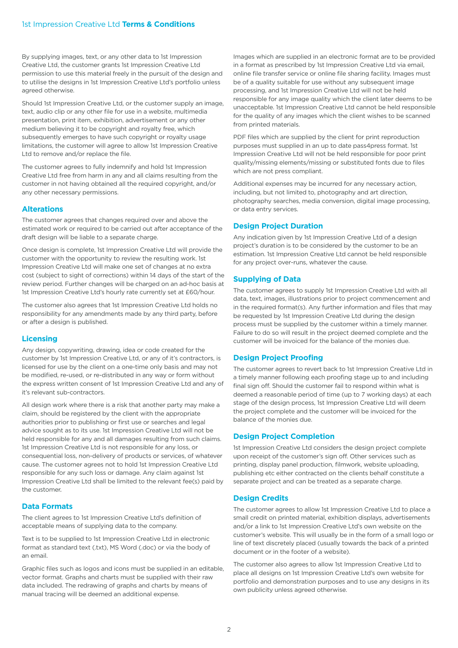By supplying images, text, or any other data to 1st Impression Creative Ltd, the customer grants 1st Impression Creative Ltd permission to use this material freely in the pursuit of the design and to utilise the designs in 1st Impression Creative Ltd's portfolio unless agreed otherwise.

Should 1st Impression Creative Ltd, or the customer supply an image, text, audio clip or any other file for use in a website, multimedia presentation, print item, exhibition, advertisement or any other medium believing it to be copyright and royalty free, which subsequently emerges to have such copyright or royalty usage limitations, the customer will agree to allow 1st Impression Creative Ltd to remove and/or replace the file.

The customer agrees to fully indemnify and hold 1st Impression Creative Ltd free from harm in any and all claims resulting from the customer in not having obtained all the required copyright, and/or any other necessary permissions.

# **Alterations**

The customer agrees that changes required over and above the estimated work or required to be carried out after acceptance of the draft design will be liable to a separate charge.

Once design is complete, 1st Impression Creative Ltd will provide the customer with the opportunity to review the resulting work. 1st Impression Creative Ltd will make one set of changes at no extra cost (subject to sight of corrections) within 14 days of the start of the review period. Further changes will be charged on an ad-hoc basis at 1st Impression Creative Ltd's hourly rate currently set at £60/hour.

The customer also agrees that 1st Impression Creative Ltd holds no responsibility for any amendments made by any third party, before or after a design is published.

### **Licensing**

Any design, copywriting, drawing, idea or code created for the customer by 1st Impression Creative Ltd, or any of it's contractors, is licensed for use by the client on a one-time only basis and may not be modified, re-used, or re-distributed in any way or form without the express written consent of 1st Impression Creative Ltd and any of it's relevant sub-contractors.

All design work where there is a risk that another party may make a claim, should be registered by the client with the appropriate authorities prior to publishing or first use or searches and legal advice sought as to its use. 1st Impression Creative Ltd will not be held responsible for any and all damages resulting from such claims. 1st Impression Creative Ltd is not responsible for any loss, or consequential loss, non-delivery of products or services, of whatever cause. The customer agrees not to hold 1st Impression Creative Ltd responsible for any such loss or damage. Any claim against 1st Impression Creative Ltd shall be limited to the relevant fee(s) paid by the customer.

# **Data Formats**

The client agrees to 1st Impression Creative Ltd's definition of acceptable means of supplying data to the company.

Text is to be supplied to 1st Impression Creative Ltd in electronic format as standard text (.txt), MS Word (.doc) or via the body of an email.

Graphic files such as logos and icons must be supplied in an editable, vector format. Graphs and charts must be supplied with their raw data included. The redrawing of graphs and charts by means of manual tracing will be deemed an additional expense.

Images which are supplied in an electronic format are to be provided in a format as prescribed by 1st Impression Creative Ltd via email, online file transfer service or online file sharing facility. Images must be of a quality suitable for use without any subsequent image processing, and 1st Impression Creative Ltd will not be held responsible for any image quality which the client later deems to be unacceptable. 1st Impression Creative Ltd cannot be held responsible for the quality of any images which the client wishes to be scanned from printed materials.

PDF files which are supplied by the client for print reproduction purposes must supplied in an up to date pass4press format. 1st Impression Creative Ltd will not be held responsible for poor print quality/missing elements/missing or substituted fonts due to files which are not press compliant.

Additional expenses may be incurred for any necessary action, including, but not limited to, photography and art direction, photography searches, media conversion, digital image processing, or data entry services.

# **Design Project Duration**

Any indication given by 1st Impression Creative Ltd of a design project's duration is to be considered by the customer to be an estimation. 1st Impression Creative Ltd cannot be held responsible for any project over-runs, whatever the cause.

# **Supplying of Data**

The customer agrees to supply 1st Impression Creative Ltd with all data, text, images, illustrations prior to project commencement and in the required format(s). Any further information and files that may be requested by 1st Impression Creative Ltd during the design process must be supplied by the customer within a timely manner. Failure to do so will result in the project deemed complete and the customer will be invoiced for the balance of the monies due.

# **Design Project Proofing**

The customer agrees to revert back to 1st Impression Creative Ltd in a timely manner following each proofing stage up to and including final sign off. Should the customer fail to respond within what is deemed a reasonable period of time (up to 7 working days) at each stage of the design process, 1st Impression Creative Ltd will deem the project complete and the customer will be invoiced for the balance of the monies due.

# **Design Project Completion**

1st Impression Creative Ltd considers the design project complete upon receipt of the customer's sign off. Other services such as printing, display panel production, filmwork, website uploading, publishing etc either contracted on the clients behalf constitute a separate project and can be treated as a separate charge.

# **Design Credits**

The customer agrees to allow 1st Impression Creative Ltd to place a small credit on printed material, exhibition displays, advertisements and/or a link to 1st Impression Creative Ltd's own website on the customer's website. This will usually be in the form of a small logo or line of text discretely placed (usually towards the back of a printed document or in the footer of a website).

The customer also agrees to allow 1st Impression Creative Ltd to place all designs on 1st Impression Creative Ltd's own website for portfolio and demonstration purposes and to use any designs in its own publicity unless agreed otherwise.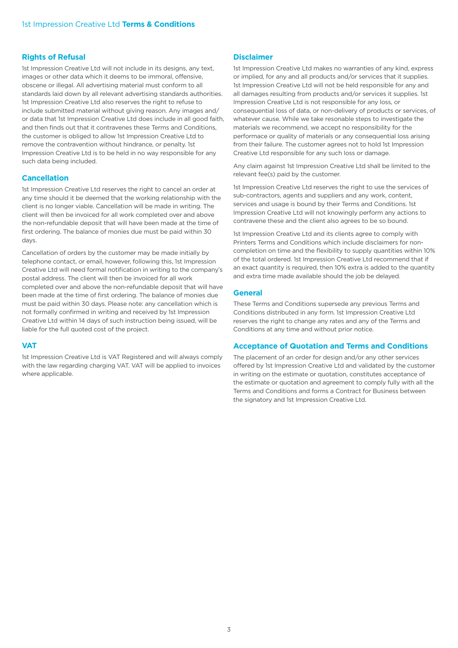# **Rights of Refusal**

1st Impression Creative Ltd will not include in its designs, any text, images or other data which it deems to be immoral, offensive, obscene or illegal. All advertising material must conform to all standards laid down by all relevant advertising standards authorities. 1st Impression Creative Ltd also reserves the right to refuse to include submitted material without giving reason. Any images and/ or data that 1st Impression Creative Ltd does include in all good faith, and then finds out that it contravenes these Terms and Conditions, the customer is obliged to allow 1st Impression Creative Ltd to remove the contravention without hindrance, or penalty. 1st Impression Creative Ltd is to be held in no way responsible for any such data being included.

### **Cancellation**

1st Impression Creative Ltd reserves the right to cancel an order at any time should it be deemed that the working relationship with the client is no longer viable. Cancellation will be made in writing. The client will then be invoiced for all work completed over and above the non-refundable deposit that will have been made at the time of first ordering. The balance of monies due must be paid within 30 days.

Cancellation of orders by the customer may be made initially by telephone contact, or email, however, following this, 1st Impression Creative Ltd will need formal notification in writing to the company's postal address. The client will then be invoiced for all work completed over and above the non-refundable deposit that will have been made at the time of first ordering. The balance of monies due must be paid within 30 days. Please note: any cancellation which is not formally confirmed in writing and received by 1st Impression Creative Ltd within 14 days of such instruction being issued, will be liable for the full quoted cost of the project.

### **VAT**

1st Impression Creative Ltd is VAT Registered and will always comply with the law regarding charging VAT. VAT will be applied to invoices where applicable.

# **Disclaimer**

1st Impression Creative Ltd makes no warranties of any kind, express or implied, for any and all products and/or services that it supplies. 1st Impression Creative Ltd will not be held responsible for any and all damages resulting from products and/or services it supplies. 1st Impression Creative Ltd is not responsible for any loss, or consequential loss of data, or non-delivery of products or services, of whatever cause. While we take resonable steps to investigate the materials we recommend, we accept no responsibility for the performace or quality of materials or any consequential loss arising from their failure. The customer agrees not to hold 1st Impression Creative Ltd responsible for any such loss or damage.

Any claim against 1st Impression Creative Ltd shall be limited to the relevant fee(s) paid by the customer.

1st Impression Creative Ltd reserves the right to use the services of sub-contractors, agents and suppliers and any work, content, services and usage is bound by their Terms and Conditions. 1st Impression Creative Ltd will not knowingly perform any actions to contravene these and the client also agrees to be so bound.

1st Impression Creative Ltd and its clients agree to comply with Printers Terms and Conditions which include disclaimers for noncompletion on time and the flexibility to supply quantities within 10% of the total ordered. 1st Impression Creative Ltd recommend that if an exact quantity is required, then 10% extra is added to the quantity and extra time made available should the job be delayed.

## **General**

These Terms and Conditions supersede any previous Terms and Conditions distributed in any form. 1st Impression Creative Ltd reserves the right to change any rates and any of the Terms and Conditions at any time and without prior notice.

### **Acceptance of Quotation and Terms and Conditions**

The placement of an order for design and/or any other services offered by 1st Impression Creative Ltd and validated by the customer in writing on the estimate or quotation, constitutes acceptance of the estimate or quotation and agreement to comply fully with all the Terms and Conditions and forms a Contract for Business between the signatory and 1st Impression Creative Ltd.